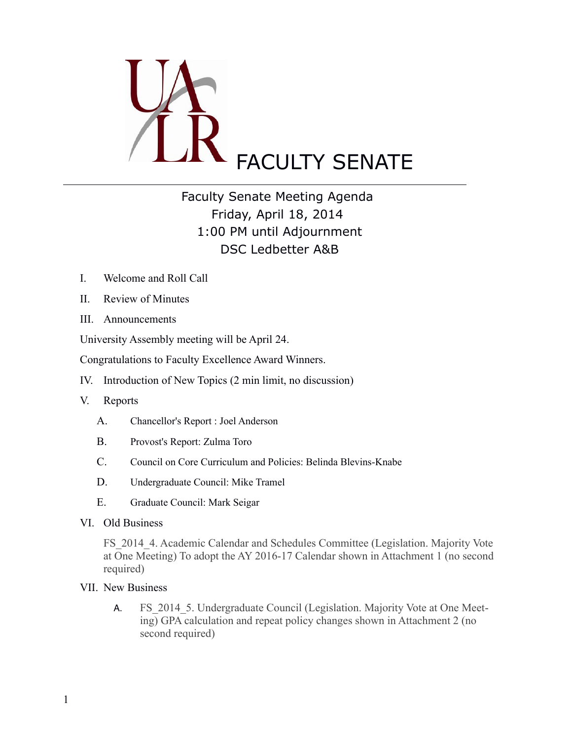

## Faculty Senate Meeting Agenda Friday, April 18, 2014 1:00 PM until Adjournment DSC Ledbetter A&B

- I. Welcome and Roll Call
- II. Review of Minutes
- III. Announcements

University Assembly meeting will be April 24.

Congratulations to Faculty Excellence Award Winners.

IV. Introduction of New Topics (2 min limit, no discussion)

- V. Reports
	- A. Chancellor's Report : Joel Anderson
	- B. Provost's Report: Zulma Toro
	- C. Council on Core Curriculum and Policies: Belinda Blevins-Knabe
	- D. Undergraduate Council: Mike Tramel
	- E. Graduate Council: Mark Seigar
- VI. Old Business

FS 2014 4. Academic Calendar and Schedules Committee (Legislation. Majority Vote at One Meeting) To adopt the AY 2016-17 Calendar shown in Attachment 1 (no second required)

- VII. New Business
	- A. FS 2014 5. Undergraduate Council (Legislation. Majority Vote at One Meeting) GPA calculation and repeat policy changes shown in Attachment 2 (no second required)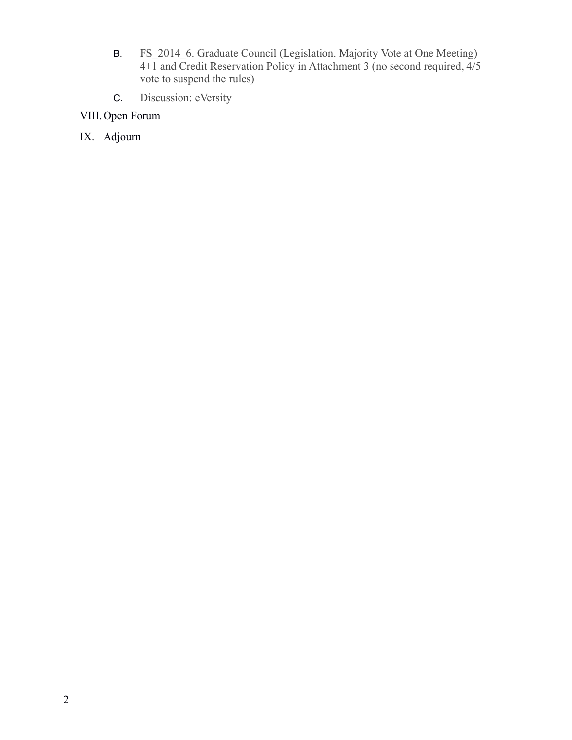- B. FS\_2014\_6. Graduate Council (Legislation. Majority Vote at One Meeting)  $4+\overline{1}$  and Credit Reservation Policy in Attachment 3 (no second required,  $4/5$ ) vote to suspend the rules)
- C. Discussion: eVersity
- VIII.Open Forum
- IX. Adjourn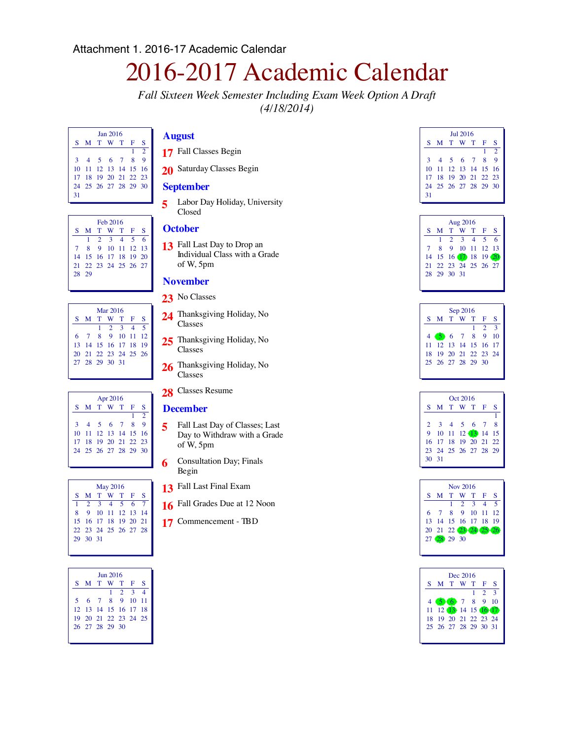# 2016-2017 Academic Calendar

*Fall Sixteen Week Semester Including Exam Week Option A Draft (4/18/2014)*

|    | Jan 2016             |  |  |           |   |               |  |  |  |  |
|----|----------------------|--|--|-----------|---|---------------|--|--|--|--|
| S. |                      |  |  | M T W T F |   | S             |  |  |  |  |
|    |                      |  |  |           | 1 | $\mathcal{D}$ |  |  |  |  |
| 3  |                      |  |  | 4 5 6 7 8 |   | $\mathbf Q$   |  |  |  |  |
|    | 10 11 12 13 14 15 16 |  |  |           |   |               |  |  |  |  |
|    | 17 18 19 20 21 22 23 |  |  |           |   |               |  |  |  |  |
|    | 24 25 26 27 28 29 30 |  |  |           |   |               |  |  |  |  |
| 31 |                      |  |  |           |   |               |  |  |  |  |

| Feb 2016 |  |  |  |  |                                                                                                         |  |  |  |  |  |
|----------|--|--|--|--|---------------------------------------------------------------------------------------------------------|--|--|--|--|--|
|          |  |  |  |  | S                                                                                                       |  |  |  |  |  |
|          |  |  |  |  |                                                                                                         |  |  |  |  |  |
|          |  |  |  |  |                                                                                                         |  |  |  |  |  |
|          |  |  |  |  |                                                                                                         |  |  |  |  |  |
|          |  |  |  |  |                                                                                                         |  |  |  |  |  |
| 28.29    |  |  |  |  |                                                                                                         |  |  |  |  |  |
|          |  |  |  |  |                                                                                                         |  |  |  |  |  |
|          |  |  |  |  | M T W T F<br>$1 \t2 \t3 \t4 \t5 \t6$<br>8 9 10 11 12 13<br>14 15 16 17 18 19 20<br>21 22 23 24 25 26 27 |  |  |  |  |  |

| Mar 2016 |                      |  |                 |  |  |     |  |  |  |
|----------|----------------------|--|-----------------|--|--|-----|--|--|--|
|          | S M T W T F          |  |                 |  |  | S   |  |  |  |
|          |                      |  | $1 \t2 \t3 \t4$ |  |  | - 5 |  |  |  |
|          | 6 7 8 9 10 11 12     |  |                 |  |  |     |  |  |  |
|          | 13 14 15 16 17 18 19 |  |                 |  |  |     |  |  |  |
|          | 20 21 22 23 24 25 26 |  |                 |  |  |     |  |  |  |
|          | 27 28 29 30 31       |  |                 |  |  |     |  |  |  |
|          |                      |  |                 |  |  |     |  |  |  |

| Apr 2016 |                      |  |  |  |    |                |  |  |  |
|----------|----------------------|--|--|--|----|----------------|--|--|--|
|          | S M T W T F          |  |  |  |    | S              |  |  |  |
|          |                      |  |  |  | 1. | $\overline{2}$ |  |  |  |
| 3        | 4 5 6 7 8            |  |  |  |    | $\mathbf Q$    |  |  |  |
|          | 10 11 12 13 14 15 16 |  |  |  |    |                |  |  |  |
|          | 17 18 19 20 21 22 23 |  |  |  |    |                |  |  |  |
|          | 24 25 26 27 28 29 30 |  |  |  |    |                |  |  |  |
|          |                      |  |  |  |    |                |  |  |  |

|   | <b>May 2016</b>             |  |                  |  |  |  |  |  |  |  |  |
|---|-----------------------------|--|------------------|--|--|--|--|--|--|--|--|
|   | S M T W T F S               |  |                  |  |  |  |  |  |  |  |  |
|   | $1 \t2 \t3 \t4 \t5 \t6 \t7$ |  |                  |  |  |  |  |  |  |  |  |
| 8 |                             |  | 9 10 11 12 13 14 |  |  |  |  |  |  |  |  |
|   | 15 16 17 18 19 20 21        |  |                  |  |  |  |  |  |  |  |  |
|   | 22 23 24 25 26 27 28        |  |                  |  |  |  |  |  |  |  |  |
|   | 29 30 31                    |  |                  |  |  |  |  |  |  |  |  |
|   |                             |  |                  |  |  |  |  |  |  |  |  |

| <b>Jun 2016</b>      |  |  |                 |  |   |  |  |  |  |
|----------------------|--|--|-----------------|--|---|--|--|--|--|
| S M T W T F          |  |  |                 |  | S |  |  |  |  |
|                      |  |  | $1 \t2 \t3 \t4$ |  |   |  |  |  |  |
| 5 6 7 8 9 10 11      |  |  |                 |  |   |  |  |  |  |
| 12 13 14 15 16 17 18 |  |  |                 |  |   |  |  |  |  |
| 19 20 21 22 23 24 25 |  |  |                 |  |   |  |  |  |  |
| 26 27 28 29 30       |  |  |                 |  |   |  |  |  |  |
|                      |  |  |                 |  |   |  |  |  |  |

#### **August**

- Fall Classes Begin
- 20 Saturday Classes Begin

#### **September**

 Labor Day Holiday, University Closed

#### **October**

 Fall Last Day to Drop an Individual Class with a Grade of W, 5pm

#### **November**

- 23 No Classes
- Thanksgiving Holiday, No Classes
- Thanksgiving Holiday, No Classes
- Thanksgiving Holiday, No Classes
- Classes Resume

#### **December**

- Fall Last Day of Classes; Last Day to Withdraw with a Grade of W, 5pm
- Consultation Day; Finals Begin
- Fall Last Final Exam
- Fall Grades Due at 12 Noon
- Commencement TBD

|    | $\text{In}12016$     |  |  |  |   |               |  |  |  |  |
|----|----------------------|--|--|--|---|---------------|--|--|--|--|
| S  | M T W T F            |  |  |  |   | S             |  |  |  |  |
|    |                      |  |  |  | 1 | $\mathcal{D}$ |  |  |  |  |
| 3  | 4 5 6 7 8            |  |  |  |   | $\mathbf Q$   |  |  |  |  |
|    | 10 11 12 13 14 15 16 |  |  |  |   |               |  |  |  |  |
|    | 17 18 19 20 21 22 23 |  |  |  |   |               |  |  |  |  |
|    | 24 25 26 27 28 29 30 |  |  |  |   |               |  |  |  |  |
| 31 |                      |  |  |  |   |               |  |  |  |  |

| Aug 2016 |                      |  |                         |  |  |  |  |  |  |
|----------|----------------------|--|-------------------------|--|--|--|--|--|--|
|          | S M T W T F S        |  |                         |  |  |  |  |  |  |
|          |                      |  | $1 \t2 \t3 \t4 \t5 \t6$ |  |  |  |  |  |  |
|          | 7 8 9 10 11 12 13    |  |                         |  |  |  |  |  |  |
|          | 14 15 16 17 18 19 20 |  |                         |  |  |  |  |  |  |
|          | 21 22 23 24 25 26 27 |  |                         |  |  |  |  |  |  |
|          | 28 29 30 31          |  |                         |  |  |  |  |  |  |
|          |                      |  |                         |  |  |  |  |  |  |

| Sep 2016             |  |  |    |                |    |  |  |  |  |
|----------------------|--|--|----|----------------|----|--|--|--|--|
| S M T W T F          |  |  |    |                | S  |  |  |  |  |
|                      |  |  | 1. | 2 <sup>3</sup> |    |  |  |  |  |
| 4 5 6 7 8 9          |  |  |    |                | 10 |  |  |  |  |
| 11 12 13 14 15 16 17 |  |  |    |                |    |  |  |  |  |
| 18 19 20 21 22 23 24 |  |  |    |                |    |  |  |  |  |
| 25 26 27 28 29 30    |  |  |    |                |    |  |  |  |  |
|                      |  |  |    |                |    |  |  |  |  |

|               | Oct 2016             |  |  |                   |  |  |  |  |  |  |
|---------------|----------------------|--|--|-------------------|--|--|--|--|--|--|
|               | S M T W T F S        |  |  |                   |  |  |  |  |  |  |
|               |                      |  |  |                   |  |  |  |  |  |  |
| $\mathbf{2}$  |                      |  |  | 3 4 5 6 7 8       |  |  |  |  |  |  |
| 9             |                      |  |  | 10 11 12 13 14 15 |  |  |  |  |  |  |
|               | 16 17 18 19 20 21 22 |  |  |                   |  |  |  |  |  |  |
|               | 23 24 25 26 27 28 29 |  |  |                   |  |  |  |  |  |  |
| $30 \quad 31$ |                      |  |  |                   |  |  |  |  |  |  |
|               |                      |  |  |                   |  |  |  |  |  |  |

| Nov 2016             |  |                     |  |  |  |  |  |  |  |
|----------------------|--|---------------------|--|--|--|--|--|--|--|
| S M T W T F S        |  |                     |  |  |  |  |  |  |  |
|                      |  | $1 \t2 \t3 \t4 \t5$ |  |  |  |  |  |  |  |
| 6 7 8 9 10 11 12     |  |                     |  |  |  |  |  |  |  |
| 13 14 15 16 17 18 19 |  |                     |  |  |  |  |  |  |  |
| 20 21 22 23 24 25 26 |  |                     |  |  |  |  |  |  |  |
| 27 (28 29 30         |  |                     |  |  |  |  |  |  |  |
|                      |  |                     |  |  |  |  |  |  |  |

|    |                      | Dec 2016 |    |                             |     |
|----|----------------------|----------|----|-----------------------------|-----|
| S. | M T W T F            |          |    |                             | S   |
|    |                      |          | 1. | $\mathcal{D}_{\mathcal{L}}$ | ි 3 |
|    | 4 5 6 7 8 9 10       |          |    |                             |     |
|    | 11 12 13 14 15 16 17 |          |    |                             |     |
|    | 18 19 20 21 22 23 24 |          |    |                             |     |
|    | 25 26 27 28 29 30 31 |          |    |                             |     |
|    |                      |          |    |                             |     |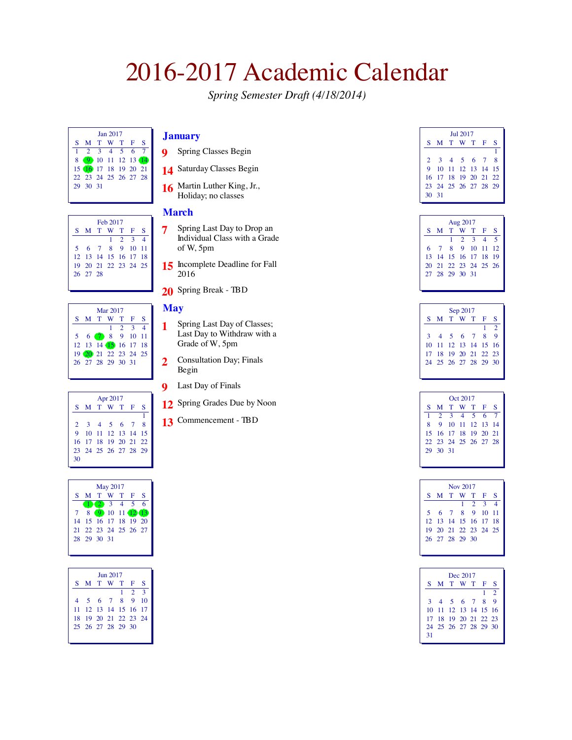# 2016-2017 Academic Calendar

*Spring Semester Draft (4/18/2014)*

| <b>Ian 2017</b> |                      |  |             |  |  |  |  |  |  |
|-----------------|----------------------|--|-------------|--|--|--|--|--|--|
|                 | S M T W T F S        |  |             |  |  |  |  |  |  |
|                 |                      |  | 2 3 4 5 6 7 |  |  |  |  |  |  |
| 8               | 9 10 11 12 13 14     |  |             |  |  |  |  |  |  |
|                 | 15 16 17 18 19 20 21 |  |             |  |  |  |  |  |  |
|                 | 22 23 24 25 26 27 28 |  |             |  |  |  |  |  |  |
|                 | 29 30 31             |  |             |  |  |  |  |  |  |
|                 |                      |  |             |  |  |  |  |  |  |

| Feb 2017 |                      |  |  |                 |  |  |  |  |  |
|----------|----------------------|--|--|-----------------|--|--|--|--|--|
|          | S M T W T F S        |  |  |                 |  |  |  |  |  |
|          |                      |  |  | $1 \t2 \t3 \t4$ |  |  |  |  |  |
|          | 5 6 7 8 9 10 11      |  |  |                 |  |  |  |  |  |
|          | 12 13 14 15 16 17 18 |  |  |                 |  |  |  |  |  |
|          | 19 20 21 22 23 24 25 |  |  |                 |  |  |  |  |  |
|          | 26 27 28             |  |  |                 |  |  |  |  |  |
|          |                      |  |  |                 |  |  |  |  |  |

| Mar 2017             |  |  |                 |  |  |  |  |  |  |
|----------------------|--|--|-----------------|--|--|--|--|--|--|
| S M T W T F S        |  |  |                 |  |  |  |  |  |  |
|                      |  |  | $1 \t2 \t3 \t4$ |  |  |  |  |  |  |
| 5 6 7 8 9 10 11      |  |  |                 |  |  |  |  |  |  |
| 12 13 14 15 16 17 18 |  |  |                 |  |  |  |  |  |  |
| 19 20 21 22 23 24 25 |  |  |                 |  |  |  |  |  |  |
| 26 27 28 29 30 31    |  |  |                 |  |  |  |  |  |  |
|                      |  |  |                 |  |  |  |  |  |  |

|    | Apr 2017             |  |                   |  |  |   |  |  |  |  |
|----|----------------------|--|-------------------|--|--|---|--|--|--|--|
|    | S M T W T F S        |  |                   |  |  |   |  |  |  |  |
|    |                      |  |                   |  |  | 1 |  |  |  |  |
|    | 2 3 4 5 6 7 8        |  |                   |  |  |   |  |  |  |  |
| 9  |                      |  | 10 11 12 13 14 15 |  |  |   |  |  |  |  |
|    | 16 17 18 19 20 21 22 |  |                   |  |  |   |  |  |  |  |
|    | 23 24 25 26 27 28 29 |  |                   |  |  |   |  |  |  |  |
| 30 |                      |  |                   |  |  |   |  |  |  |  |
|    |                      |  |                   |  |  |   |  |  |  |  |

| <b>May 2017</b> |                      |  |               |  |  |   |  |  |  |
|-----------------|----------------------|--|---------------|--|--|---|--|--|--|
| S.              |                      |  | M T W T F     |  |  | s |  |  |  |
|                 |                      |  |               |  |  |   |  |  |  |
|                 | 8                    |  | 9 10 11 12 13 |  |  |   |  |  |  |
|                 | 14 15 16 17 18 19 20 |  |               |  |  |   |  |  |  |
|                 | 21 22 23 24 25 26 27 |  |               |  |  |   |  |  |  |
|                 | 28 29 30 31          |  |               |  |  |   |  |  |  |
|                 |                      |  |               |  |  |   |  |  |  |

| <b>Iun 2017</b>          |                      |  |  |  |  |    |  |  |  |  |
|--------------------------|----------------------|--|--|--|--|----|--|--|--|--|
| S.                       | M T W T F            |  |  |  |  | s  |  |  |  |  |
| 3<br>$\mathcal{L}$<br>1. |                      |  |  |  |  |    |  |  |  |  |
|                          | 4 5 6 7 8 9          |  |  |  |  | 10 |  |  |  |  |
|                          | 11 12 13 14 15 16 17 |  |  |  |  |    |  |  |  |  |
|                          | 18 19 20 21 22 23 24 |  |  |  |  |    |  |  |  |  |
|                          | 25 26 27 28 29 30    |  |  |  |  |    |  |  |  |  |
|                          |                      |  |  |  |  |    |  |  |  |  |

#### **January**

- Spring Classes Begin
- Saturday Classes Begin
- Martin Luther King, Jr., Holiday; no classes

#### **March**

- Spring Last Day to Drop an Individual Class with a Grade of W, 5pm
- 15 Incomplete Deadline for Fall
- Spring Break TBD

#### **May**

- Spring Last Day of Classes; Last Day to Withdraw with a Grade of W, 5pm
- Consultation Day; Finals Begin
- Last Day of Finals
- Spring Grades Due by Noon
- Commencement TBD

| <b>Iul 2017</b> |                      |  |  |  |  |  |  |  |  |
|-----------------|----------------------|--|--|--|--|--|--|--|--|
|                 | S M T W T F S        |  |  |  |  |  |  |  |  |
|                 |                      |  |  |  |  |  |  |  |  |
|                 | 2 3 4 5 6 7 8        |  |  |  |  |  |  |  |  |
|                 | 9 10 11 12 13 14 15  |  |  |  |  |  |  |  |  |
|                 | 16 17 18 19 20 21 22 |  |  |  |  |  |  |  |  |
|                 | 23 24 25 26 27 28 29 |  |  |  |  |  |  |  |  |
| $30 \quad 31$   |                      |  |  |  |  |  |  |  |  |

| Aug 2017 |                      |  |  |                 |  |     |  |  |  |
|----------|----------------------|--|--|-----------------|--|-----|--|--|--|
|          | SMTWTFS              |  |  |                 |  |     |  |  |  |
|          |                      |  |  | $1 \t2 \t3 \t4$ |  | - 5 |  |  |  |
|          | 6 7 8 9 10 11 12     |  |  |                 |  |     |  |  |  |
|          | 13 14 15 16 17 18 19 |  |  |                 |  |     |  |  |  |
|          | 20 21 22 23 24 25 26 |  |  |                 |  |     |  |  |  |
|          | 27 28 29 30 31       |  |  |                 |  |     |  |  |  |
|          |                      |  |  |                 |  |     |  |  |  |

| Sep 2017 |                      |  |  |  |   |             |  |  |
|----------|----------------------|--|--|--|---|-------------|--|--|
|          | S M T W T F          |  |  |  |   | S           |  |  |
|          |                      |  |  |  | 1 | $\cdot$ 2   |  |  |
|          | 3 4 5 6 7 8          |  |  |  |   | $\mathbf Q$ |  |  |
|          | 10 11 12 13 14 15 16 |  |  |  |   |             |  |  |
|          | 17 18 19 20 21 22 23 |  |  |  |   |             |  |  |
|          | 24 25 26 27 28 29 30 |  |  |  |   |             |  |  |
|          |                      |  |  |  |   |             |  |  |

| Oct 2017 |                             |  |  |  |  |  |  |  |  |
|----------|-----------------------------|--|--|--|--|--|--|--|--|
|          | S M T W T F S               |  |  |  |  |  |  |  |  |
|          | $1 \t2 \t3 \t4 \t5 \t6 \t7$ |  |  |  |  |  |  |  |  |
|          | 8 9 10 11 12 13 14          |  |  |  |  |  |  |  |  |
|          | 15 16 17 18 19 20 21        |  |  |  |  |  |  |  |  |
|          | 22 23 24 25 26 27 28        |  |  |  |  |  |  |  |  |
|          | 29 30 31                    |  |  |  |  |  |  |  |  |
|          |                             |  |  |  |  |  |  |  |  |

| Nov 2017 |                      |  |  |                 |  |  |  |  |  |
|----------|----------------------|--|--|-----------------|--|--|--|--|--|
|          | S M T W T F S        |  |  |                 |  |  |  |  |  |
|          |                      |  |  | $1 \t2 \t3 \t4$ |  |  |  |  |  |
|          | 5 6 7 8 9 10 11      |  |  |                 |  |  |  |  |  |
|          | 12 13 14 15 16 17 18 |  |  |                 |  |  |  |  |  |
|          | 19 20 21 22 23 24 25 |  |  |                 |  |  |  |  |  |
|          | 26 27 28 29 30       |  |  |                 |  |  |  |  |  |
|          |                      |  |  |                 |  |  |  |  |  |

|    | Dec 2017             |           |  |  |   |                |  |  |  |  |
|----|----------------------|-----------|--|--|---|----------------|--|--|--|--|
| S. |                      | M T W T F |  |  |   | S              |  |  |  |  |
|    |                      |           |  |  | 1 | $\overline{2}$ |  |  |  |  |
|    | 3 4 5 6 7 8          |           |  |  |   | $\mathbf Q$    |  |  |  |  |
|    | 10 11 12 13 14 15 16 |           |  |  |   |                |  |  |  |  |
|    | 17 18 19 20 21 22 23 |           |  |  |   |                |  |  |  |  |
|    | 24 25 26 27 28 29 30 |           |  |  |   |                |  |  |  |  |
| 31 |                      |           |  |  |   |                |  |  |  |  |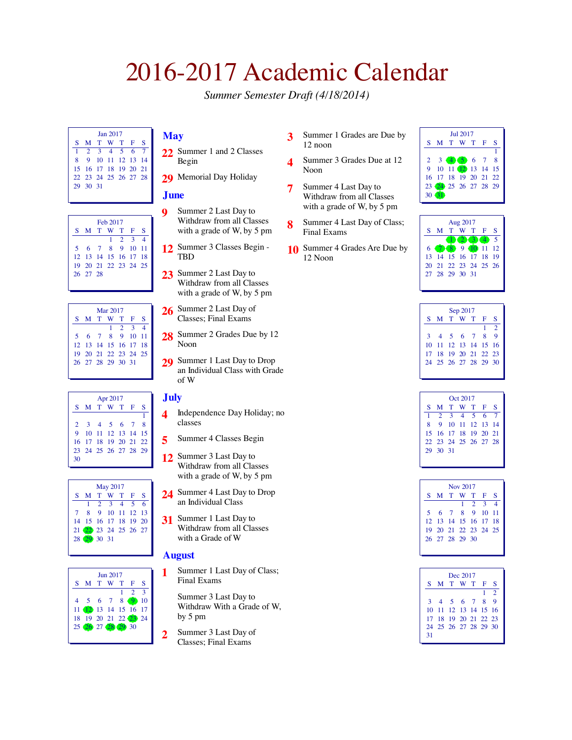# 2016-2017 Academic Calendar

*Summer Semester Draft (4/18/2014)*

| <b>Ian 2017</b> |                      |  |  |                  |  |  |  |  |  |
|-----------------|----------------------|--|--|------------------|--|--|--|--|--|
|                 | S M T W T F S        |  |  |                  |  |  |  |  |  |
| 1               | 2 3 4 5 6 7          |  |  |                  |  |  |  |  |  |
| $\mathbf{R}$    |                      |  |  | 9 10 11 12 13 14 |  |  |  |  |  |
|                 | 15 16 17 18 19 20 21 |  |  |                  |  |  |  |  |  |
|                 | 22 23 24 25 26 27 28 |  |  |                  |  |  |  |  |  |
|                 | 29 30 31             |  |  |                  |  |  |  |  |  |
|                 |                      |  |  |                  |  |  |  |  |  |

| Feb 2017             |  |  |                 |  |   |  |  |  |  |
|----------------------|--|--|-----------------|--|---|--|--|--|--|
| S M T W T F          |  |  |                 |  | S |  |  |  |  |
|                      |  |  | $1 \t2 \t3 \t4$ |  |   |  |  |  |  |
| 5 6 7 8 9 10 11      |  |  |                 |  |   |  |  |  |  |
| 12 13 14 15 16 17 18 |  |  |                 |  |   |  |  |  |  |
| 19 20 21 22 23 24 25 |  |  |                 |  |   |  |  |  |  |
| 26 27 28             |  |  |                 |  |   |  |  |  |  |
|                      |  |  |                 |  |   |  |  |  |  |

| Mar 2017             |  |  |                 |  |  |  |  |  |  |
|----------------------|--|--|-----------------|--|--|--|--|--|--|
| S M T W T F S        |  |  |                 |  |  |  |  |  |  |
|                      |  |  | $1 \t2 \t3 \t4$ |  |  |  |  |  |  |
| 5 6 7 8 9 10 11      |  |  |                 |  |  |  |  |  |  |
| 12 13 14 15 16 17 18 |  |  |                 |  |  |  |  |  |  |
| 19 20 21 22 23 24 25 |  |  |                 |  |  |  |  |  |  |
| 26 27 28 29 30 31    |  |  |                 |  |  |  |  |  |  |
|                      |  |  |                 |  |  |  |  |  |  |

|    | Apr 2017             |  |                   |  |  |   |  |  |  |  |
|----|----------------------|--|-------------------|--|--|---|--|--|--|--|
|    | S M T W T F          |  |                   |  |  | S |  |  |  |  |
|    |                      |  |                   |  |  | 1 |  |  |  |  |
|    | 2 3 4 5 6 7 8        |  |                   |  |  |   |  |  |  |  |
| 9  |                      |  | 10 11 12 13 14 15 |  |  |   |  |  |  |  |
|    | 16 17 18 19 20 21 22 |  |                   |  |  |   |  |  |  |  |
|    | 23 24 25 26 27 28 29 |  |                   |  |  |   |  |  |  |  |
| 30 |                      |  |                   |  |  |   |  |  |  |  |



|   | $\text{Im } 2017$    |  |           |  |                |              |  |  |  |  |
|---|----------------------|--|-----------|--|----------------|--------------|--|--|--|--|
| s |                      |  | M T W T F |  |                | s            |  |  |  |  |
|   |                      |  |           |  | $\overline{2}$ | $\mathbf{R}$ |  |  |  |  |
|   | 4 5 6 7 8 9 10       |  |           |  |                |              |  |  |  |  |
|   | 11 12 13 14 15 16 17 |  |           |  |                |              |  |  |  |  |
|   | 18 19 20 21 22 23 24 |  |           |  |                |              |  |  |  |  |
|   | 25 26 27 28 29 30    |  |           |  |                |              |  |  |  |  |
|   |                      |  |           |  |                |              |  |  |  |  |

## **May**

- **22** Summer 1 and 2 Classes Begin
- 29 Memorial Day Holiday

#### **June**

- **9** Summer 2 Last Day to Withdraw from all Classes with a grade of W, by 5 pm
- **12** Summer 3 Classes Begin TBD
- **23** Summer 2 Last Day to Withdraw from all Classes with a grade of W, by 5 pm
- **26** Summer 2 Last Day of Classes; Final Exams
- 28 Summer 2 Grades Due by 12 Noon
- **29** Summer 1 Last Day to Drop an Individual Class with Grade of W

#### **July**

- **4** Independence Day Holiday; no classes
- **5** Summer 4 Classes Begin
- **12** Summer 3 Last Day to Withdraw from all Classes with a grade of W, by 5 pm
- **24** Summer 4 Last Day to Drop an Individual Class
- **31** Summer 1 Last Day to Withdraw from all Classes with a Grade of W

#### **August**

- **1** Summer 1 Last Day of Class; Final Exams
	- Summer 3 Last Day to Withdraw With a Grade of W, by 5 pm
- **2** Summer 3 Last Day of Classes; Final Exams
- **3** Summer 1 Grades are Due by 12 noon
- **4** Summer 3 Grades Due at 12 Noon
- **7** Summer 4 Last Day to Withdraw from all Classes with a grade of W, by 5 pm
- **8** Summer 4 Last Day of Class; Final Exams
- **10** Summer 4 Grades Are Due by 12 Noon





| Sep 2017 |                      |       |  |           |     |               |  |  |  |
|----------|----------------------|-------|--|-----------|-----|---------------|--|--|--|
| S        |                      |       |  | M T W T F |     | S             |  |  |  |
|          |                      |       |  |           | 1   | $\mathcal{D}$ |  |  |  |
| 3        | $\overline{4}$       | 5 6 7 |  |           | - 8 | $\mathbf{Q}$  |  |  |  |
|          | 10 11 12 13 14 15 16 |       |  |           |     |               |  |  |  |
|          | 17 18 19 20 21 22 23 |       |  |           |     |               |  |  |  |
|          | 24 25 26 27 28 29 30 |       |  |           |     |               |  |  |  |
|          |                      |       |  |           |     |               |  |  |  |

| Oct 2017 |                      |                  |  |  |  |  |  |  |  |
|----------|----------------------|------------------|--|--|--|--|--|--|--|
| $S_{-}$  |                      | M T W T F S      |  |  |  |  |  |  |  |
| 1        | 2 3 4 5 6 7          |                  |  |  |  |  |  |  |  |
| 8.       |                      | 9 10 11 12 13 14 |  |  |  |  |  |  |  |
|          | 15 16 17 18 19 20 21 |                  |  |  |  |  |  |  |  |
|          | 22 23 24 25 26 27 28 |                  |  |  |  |  |  |  |  |
|          | 29 30 31             |                  |  |  |  |  |  |  |  |
|          |                      |                  |  |  |  |  |  |  |  |

| Nov 2017 |                      |  |  |                 |  |  |  |  |  |
|----------|----------------------|--|--|-----------------|--|--|--|--|--|
|          | S M T W T F S        |  |  |                 |  |  |  |  |  |
|          |                      |  |  | $1 \t2 \t3 \t4$ |  |  |  |  |  |
|          | 5 6 7 8 9 10 11      |  |  |                 |  |  |  |  |  |
|          | 12 13 14 15 16 17 18 |  |  |                 |  |  |  |  |  |
|          | 19 20 21 22 23 24 25 |  |  |                 |  |  |  |  |  |
|          | 26 27 28 29 30       |  |  |                 |  |  |  |  |  |
|          |                      |  |  |                 |  |  |  |  |  |

|    | Dec 2017             |           |  |  |   |                |  |  |  |  |
|----|----------------------|-----------|--|--|---|----------------|--|--|--|--|
| S. |                      | M T W T F |  |  |   | s              |  |  |  |  |
|    |                      |           |  |  | 1 | $\overline{2}$ |  |  |  |  |
|    | 3 4 5 6 7 8          |           |  |  |   | - 9            |  |  |  |  |
|    | 10 11 12 13 14 15 16 |           |  |  |   |                |  |  |  |  |
|    | 17 18 19 20 21 22 23 |           |  |  |   |                |  |  |  |  |
|    | 24 25 26 27 28 29 30 |           |  |  |   |                |  |  |  |  |
| 31 |                      |           |  |  |   |                |  |  |  |  |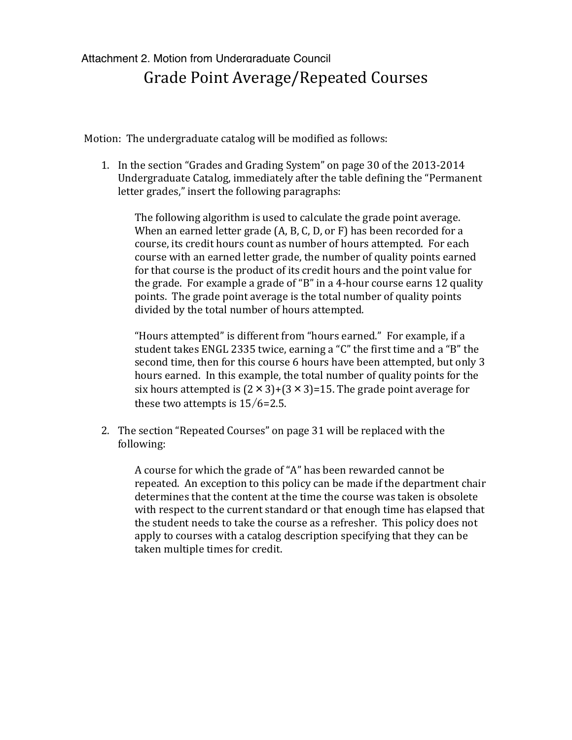## Attachment 2. Motion from Undergraduate Council Grade Point Average/Repeated Courses

Motion: The undergraduate catalog will be modified as follows:

1. In the section "Grades and Grading System" on page 30 of the 2013-2014 Undergraduate Catalog, immediately after the table defining the "Permanent" letter grades," insert the following paragraphs:

The following algorithm is used to calculate the grade point average. When an earned letter grade (A, B, C, D, or F) has been recorded for a course, its credit hours count as number of hours attempted. For each course with an earned letter grade, the number of quality points earned for that course is the product of its credit hours and the point value for the grade. For example a grade of "B" in a 4-hour course earns 12 quality points. The grade point average is the total number of quality points divided by the total number of hours attempted.

"Hours attempted" is different from "hours earned." For example, if a student takes ENGL 2335 twice, earning a "C" the first time and a "B" the second time, then for this course 6 hours have been attempted, but only 3 hours earned. In this example, the total number of quality points for the six hours attempted is  $(2 \times 3)+(3 \times 3)=15$ . The grade point average for these two attempts is  $15/6=2.5$ .

2. The section "Repeated Courses" on page 31 will be replaced with the following:

A course for which the grade of "A" has been rewarded cannot be repeated. An exception to this policy can be made if the department chair determines that the content at the time the course was taken is obsolete with respect to the current standard or that enough time has elapsed that the student needs to take the course as a refresher. This policy does not apply to courses with a catalog description specifying that they can be taken multiple times for credit.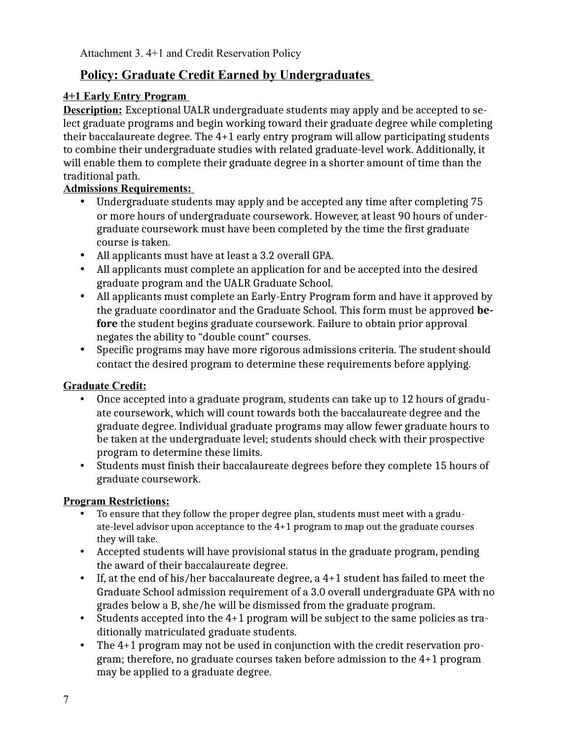Attachment 3. 4+1 and Credit Reservation Policy

## **Policy: Graduate Credit Earned by Undergraduates**

## **4+1 Early Entry Program**

**Description:** Exceptional UALR undergraduate students may apply and be accepted to select graduate programs and begin working toward their graduate degree while completing their baccalaureate degree. The 4+1 early entry program will allow participating students to combine their undergraduate studies with related graduate-level work. Additionally, it will enable them to complete their graduate degree in a shorter amount of time than the traditional path.

### **Admissions Requirements:**

- Undergraduate students may apply and be accepted any time after completing 75 or more hours of undergraduate coursework. However, at least 90 hours of undergraduate coursework must have been completed by the time the first graduate course is taken.
- All applicants must have at least a 3.2 overall GPA.
- All applicants must complete an application for and be accepted into the desired graduate program and the UALR Graduate School.
- All applicants must complete an Early-Entry Program form and have it approved by the graduate coordinator and the Graduate School. This form must be approved **before** the student begins graduate coursework. Failure to obtain prior approval negates the ability to "double count" courses.
- Specific programs may have more rigorous admissions criteria. The student should contact the desired program to determine these requirements before applying.

#### **Graduate Credit:**

- Once accepted into a graduate program, students can take up to 12 hours of graduate coursework, which will count towards both the baccalaureate degree and the graduate degree. Individual graduate programs may allow fewer graduate hours to be taken at the undergraduate level; students should check with their prospective program to determine these limits.
- Students must finish their baccalaureate degrees before they complete 15 hours of graduate coursework.

## **Program Restrictions:**

- To ensure that they follow the proper degree plan, students must meet with a graduate-level advisor upon acceptance to the 4+1 program to map out the graduate courses they will take.
- Accepted students will have provisional status in the graduate program, pending the award of their baccalaureate degree.
- If, at the end of his/her baccalaureate degree, a 4+1 student has failed to meet the Graduate School admission requirement of a 3.0 overall undergraduate GPA with no grades below a B, she/he will be dismissed from the graduate program.
- Students accepted into the 4+1 program will be subject to the same policies as traditionally matriculated graduate students.
- The 4+1 program may not be used in conjunction with the credit reservation program; therefore, no graduate courses taken before admission to the 4+1 program may be applied to a graduate degree.